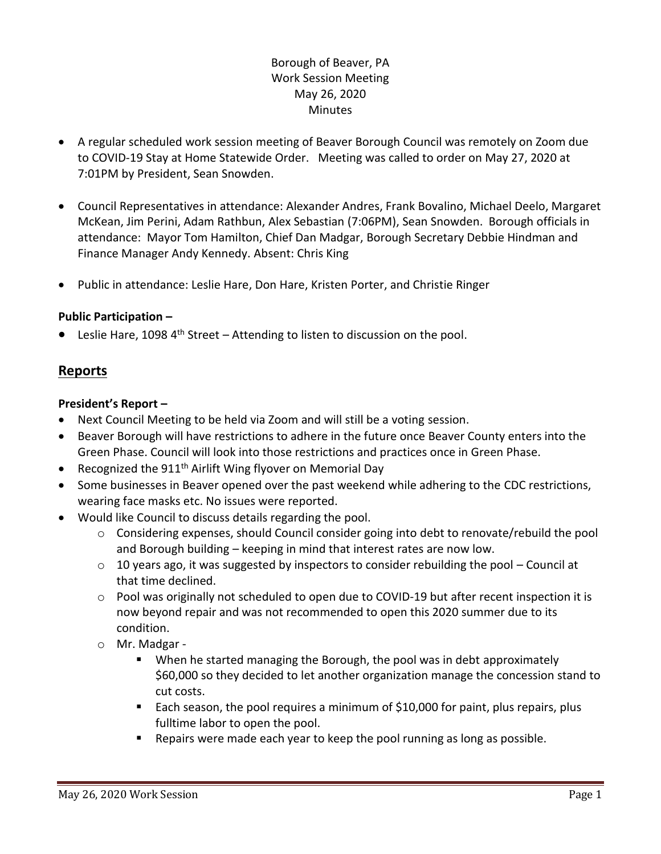# Borough of Beaver, PA Work Session Meeting May 26, 2020 Minutes

- A regular scheduled work session meeting of Beaver Borough Council was remotely on Zoom due to COVID-19 Stay at Home Statewide Order. Meeting was called to order on May 27, 2020 at 7:01PM by President, Sean Snowden.
- Council Representatives in attendance: Alexander Andres, Frank Bovalino, Michael Deelo, Margaret McKean, Jim Perini, Adam Rathbun, Alex Sebastian (7:06PM), Sean Snowden. Borough officials in attendance: Mayor Tom Hamilton, Chief Dan Madgar, Borough Secretary Debbie Hindman and Finance Manager Andy Kennedy. Absent: Chris King
- Public in attendance: Leslie Hare, Don Hare, Kristen Porter, and Christie Ringer

# **Public Participation –**

**•** Leslie Hare, 1098  $4^{\text{th}}$  Street – Attending to listen to discussion on the pool.

# **Reports**

## **President's Report –**

- Next Council Meeting to be held via Zoom and will still be a voting session.
- Beaver Borough will have restrictions to adhere in the future once Beaver County enters into the Green Phase. Council will look into those restrictions and practices once in Green Phase.
- Recognized the 911<sup>th</sup> Airlift Wing flyover on Memorial Day
- Some businesses in Beaver opened over the past weekend while adhering to the CDC restrictions, wearing face masks etc. No issues were reported.
- Would like Council to discuss details regarding the pool.
	- o Considering expenses, should Council consider going into debt to renovate/rebuild the pool and Borough building – keeping in mind that interest rates are now low.
	- $\circ$  10 years ago, it was suggested by inspectors to consider rebuilding the pool Council at that time declined.
	- $\circ$  Pool was originally not scheduled to open due to COVID-19 but after recent inspection it is now beyond repair and was not recommended to open this 2020 summer due to its condition.
	- o Mr. Madgar
		- When he started managing the Borough, the pool was in debt approximately \$60,000 so they decided to let another organization manage the concession stand to cut costs.
		- Each season, the pool requires a minimum of \$10,000 for paint, plus repairs, plus fulltime labor to open the pool.
		- Repairs were made each year to keep the pool running as long as possible.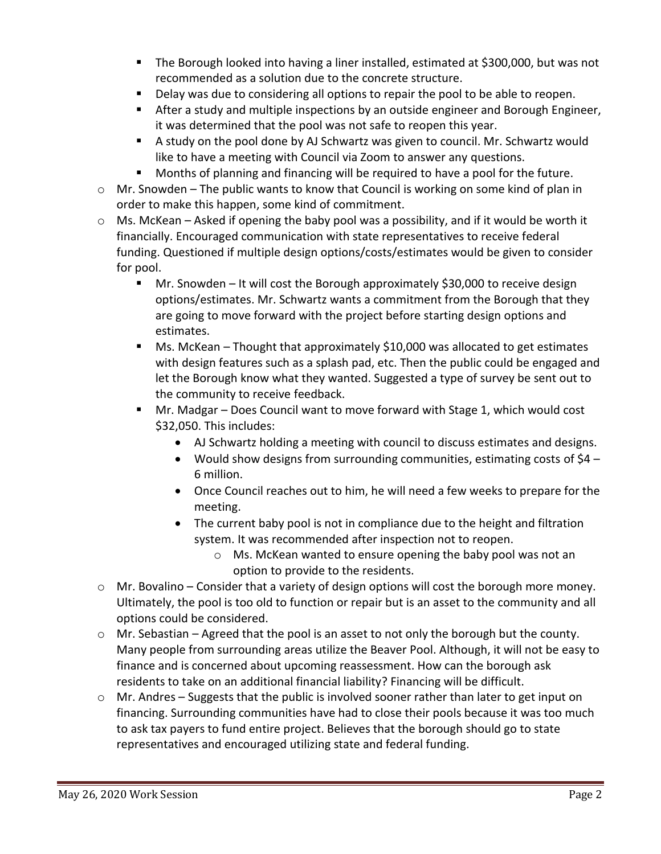- The Borough looked into having a liner installed, estimated at \$300,000, but was not recommended as a solution due to the concrete structure.
- **Delay was due to considering all options to repair the pool to be able to reopen.**
- After a study and multiple inspections by an outside engineer and Borough Engineer, it was determined that the pool was not safe to reopen this year.
- A study on the pool done by AJ Schwartz was given to council. Mr. Schwartz would like to have a meeting with Council via Zoom to answer any questions.
- Months of planning and financing will be required to have a pool for the future.
- o Mr. Snowden The public wants to know that Council is working on some kind of plan in order to make this happen, some kind of commitment.
- $\circ$  Ms. McKean Asked if opening the baby pool was a possibility, and if it would be worth it financially. Encouraged communication with state representatives to receive federal funding. Questioned if multiple design options/costs/estimates would be given to consider for pool.
	- Mr. Snowden It will cost the Borough approximately \$30,000 to receive design options/estimates. Mr. Schwartz wants a commitment from the Borough that they are going to move forward with the project before starting design options and estimates.
	- Ms. McKean Thought that approximately \$10,000 was allocated to get estimates with design features such as a splash pad, etc. Then the public could be engaged and let the Borough know what they wanted. Suggested a type of survey be sent out to the community to receive feedback.
	- Mr. Madgar Does Council want to move forward with Stage 1, which would cost \$32,050. This includes:
		- AJ Schwartz holding a meeting with council to discuss estimates and designs.
		- Would show designs from surrounding communities, estimating costs of  $$4$  6 million.
		- Once Council reaches out to him, he will need a few weeks to prepare for the meeting.
		- The current baby pool is not in compliance due to the height and filtration system. It was recommended after inspection not to reopen.
			- o Ms. McKean wanted to ensure opening the baby pool was not an option to provide to the residents.
- o Mr. Bovalino Consider that a variety of design options will cost the borough more money. Ultimately, the pool is too old to function or repair but is an asset to the community and all options could be considered.
- o Mr. Sebastian Agreed that the pool is an asset to not only the borough but the county. Many people from surrounding areas utilize the Beaver Pool. Although, it will not be easy to finance and is concerned about upcoming reassessment. How can the borough ask residents to take on an additional financial liability? Financing will be difficult.
- $\circ$  Mr. Andres Suggests that the public is involved sooner rather than later to get input on financing. Surrounding communities have had to close their pools because it was too much to ask tax payers to fund entire project. Believes that the borough should go to state representatives and encouraged utilizing state and federal funding.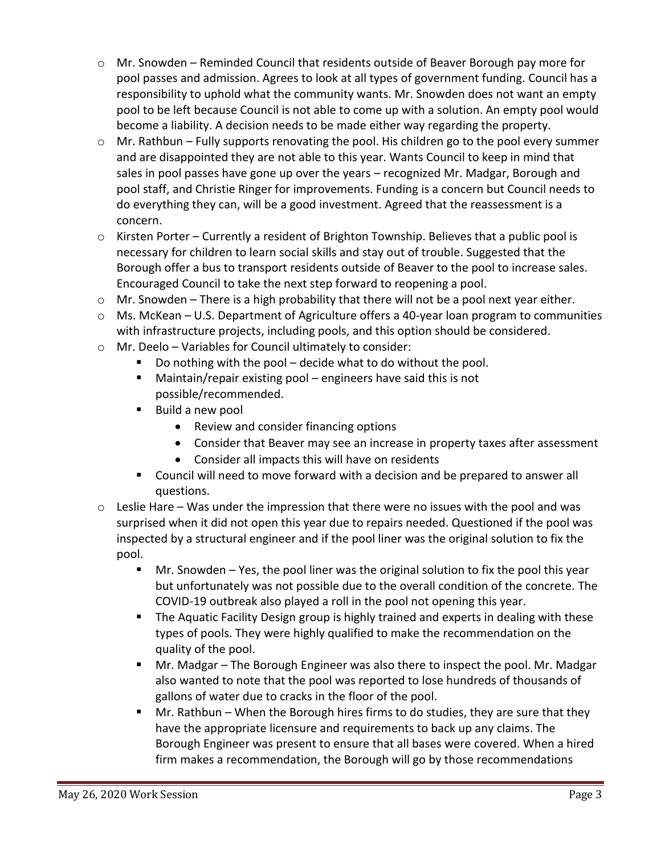- o Mr. Snowden Reminded Council that residents outside of Beaver Borough pay more for pool passes and admission. Agrees to look at all types of government funding. Council has a responsibility to uphold what the community wants. Mr. Snowden does not want an empty pool to be left because Council is not able to come up with a solution. An empty pool would become a liability. A decision needs to be made either way regarding the property.
- o Mr. Rathbun Fully supports renovating the pool. His children go to the pool every summer and are disappointed they are not able to this year. Wants Council to keep in mind that sales in pool passes have gone up over the years – recognized Mr. Madgar, Borough and pool staff, and Christie Ringer for improvements. Funding is a concern but Council needs to do everything they can, will be a good investment. Agreed that the reassessment is a concern.
- $\circ$  Kirsten Porter Currently a resident of Brighton Township. Believes that a public pool is necessary for children to learn social skills and stay out of trouble. Suggested that the Borough offer a bus to transport residents outside of Beaver to the pool to increase sales. Encouraged Council to take the next step forward to reopening a pool.
- $\circ$  Mr. Snowden There is a high probability that there will not be a pool next year either.
- $\circ$  Ms. McKean U.S. Department of Agriculture offers a 40-year loan program to communities with infrastructure projects, including pools, and this option should be considered.
- o Mr. Deelo Variables for Council ultimately to consider:
	- Do nothing with the pool decide what to do without the pool.
	- Maintain/repair existing pool engineers have said this is not possible/recommended.
	- Build a new pool
		- Review and consider financing options
		- Consider that Beaver may see an increase in property taxes after assessment
		- Consider all impacts this will have on residents
	- Council will need to move forward with a decision and be prepared to answer all questions.
- $\circ$  Leslie Hare Was under the impression that there were no issues with the pool and was surprised when it did not open this year due to repairs needed. Questioned if the pool was inspected by a structural engineer and if the pool liner was the original solution to fix the pool.
	- Mr. Snowden Yes, the pool liner was the original solution to fix the pool this year but unfortunately was not possible due to the overall condition of the concrete. The COVID-19 outbreak also played a roll in the pool not opening this year.
	- **The Aquatic Facility Design group is highly trained and experts in dealing with these** types of pools. They were highly qualified to make the recommendation on the quality of the pool.
	- Mr. Madgar The Borough Engineer was also there to inspect the pool. Mr. Madgar also wanted to note that the pool was reported to lose hundreds of thousands of gallons of water due to cracks in the floor of the pool.
	- Mr. Rathbun When the Borough hires firms to do studies, they are sure that they have the appropriate licensure and requirements to back up any claims. The Borough Engineer was present to ensure that all bases were covered. When a hired firm makes a recommendation, the Borough will go by those recommendations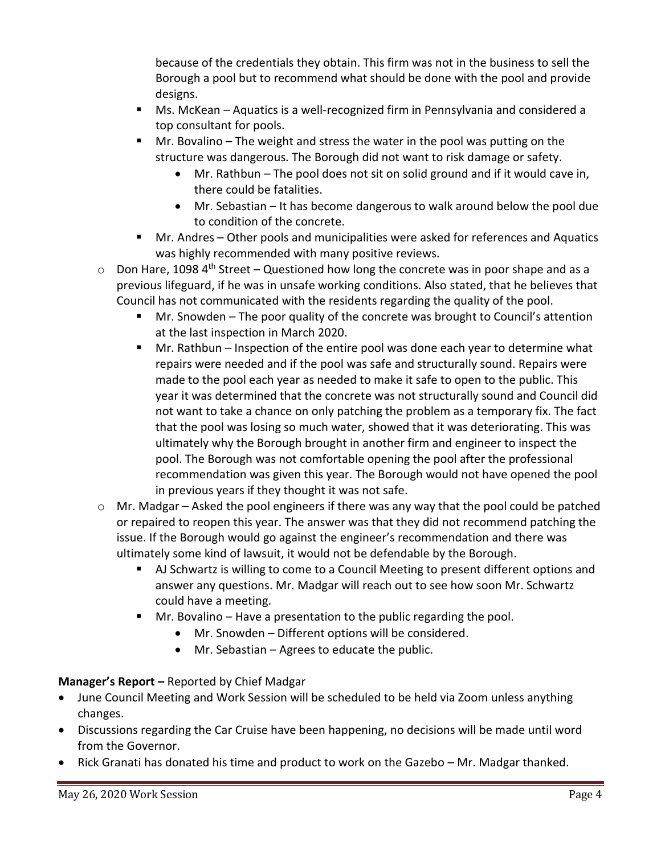because of the credentials they obtain. This firm was not in the business to sell the Borough a pool but to recommend what should be done with the pool and provide designs.

- Ms. McKean Aquatics is a well-recognized firm in Pennsylvania and considered a top consultant for pools.
- Mr. Bovalino The weight and stress the water in the pool was putting on the structure was dangerous. The Borough did not want to risk damage or safety.
	- Mr. Rathbun The pool does not sit on solid ground and if it would cave in, there could be fatalities.
	- Mr. Sebastian It has become dangerous to walk around below the pool due to condition of the concrete.
- Mr. Andres Other pools and municipalities were asked for references and Aquatics was highly recommended with many positive reviews.
- $\circ$  Don Hare, 1098 4<sup>th</sup> Street Questioned how long the concrete was in poor shape and as a previous lifeguard, if he was in unsafe working conditions. Also stated, that he believes that Council has not communicated with the residents regarding the quality of the pool.
	- Mr. Snowden The poor quality of the concrete was brought to Council's attention at the last inspection in March 2020.
	- Mr. Rathbun Inspection of the entire pool was done each year to determine what repairs were needed and if the pool was safe and structurally sound. Repairs were made to the pool each year as needed to make it safe to open to the public. This year it was determined that the concrete was not structurally sound and Council did not want to take a chance on only patching the problem as a temporary fix. The fact that the pool was losing so much water, showed that it was deteriorating. This was ultimately why the Borough brought in another firm and engineer to inspect the pool. The Borough was not comfortable opening the pool after the professional recommendation was given this year. The Borough would not have opened the pool in previous years if they thought it was not safe.
- $\circ$  Mr. Madgar Asked the pool engineers if there was any way that the pool could be patched or repaired to reopen this year. The answer was that they did not recommend patching the issue. If the Borough would go against the engineer's recommendation and there was ultimately some kind of lawsuit, it would not be defendable by the Borough.
	- AJ Schwartz is willing to come to a Council Meeting to present different options and answer any questions. Mr. Madgar will reach out to see how soon Mr. Schwartz could have a meeting.
	- **Mr. Bovalino Have a presentation to the public regarding the pool.** 
		- Mr. Snowden Different options will be considered.
		- Mr. Sebastian Agrees to educate the public.

# **Manager's Report –** Reported by Chief Madgar

- June Council Meeting and Work Session will be scheduled to be held via Zoom unless anything changes.
- Discussions regarding the Car Cruise have been happening, no decisions will be made until word from the Governor.
- Rick Granati has donated his time and product to work on the Gazebo Mr. Madgar thanked.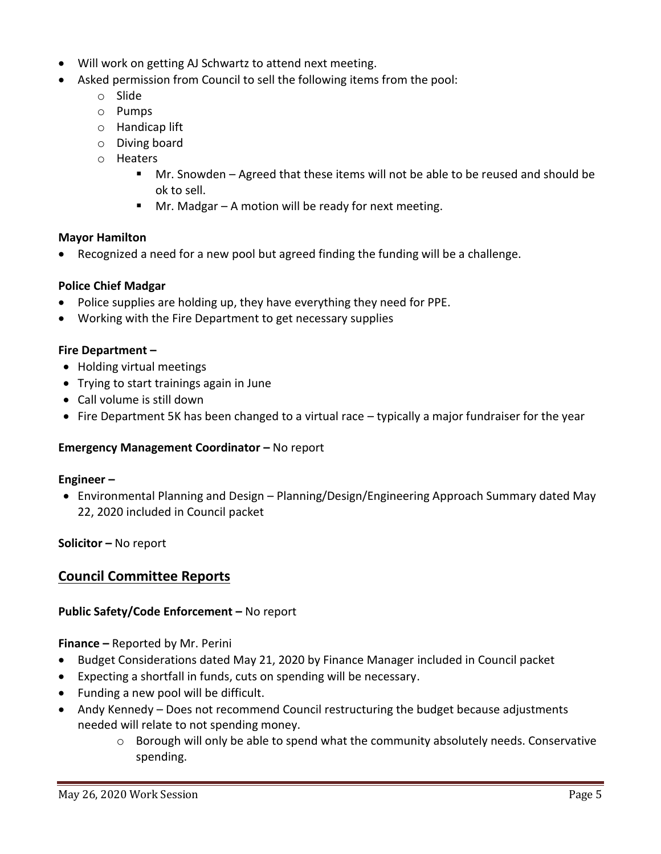- Will work on getting AJ Schwartz to attend next meeting.
- Asked permission from Council to sell the following items from the pool:
	- o Slide
	- o Pumps
	- o Handicap lift
	- o Diving board
	- o Heaters
		- Mr. Snowden Agreed that these items will not be able to be reused and should be ok to sell.
		- $\blacksquare$  Mr. Madgar A motion will be ready for next meeting.

## **Mayor Hamilton**

Recognized a need for a new pool but agreed finding the funding will be a challenge.

#### **Police Chief Madgar**

- Police supplies are holding up, they have everything they need for PPE.
- Working with the Fire Department to get necessary supplies

#### **Fire Department –**

- Holding virtual meetings
- Trying to start trainings again in June
- Call volume is still down
- Fire Department 5K has been changed to a virtual race typically a major fundraiser for the year

#### **Emergency Management Coordinator - No report**

#### **Engineer –**

 Environmental Planning and Design – Planning/Design/Engineering Approach Summary dated May 22, 2020 included in Council packet

## **Solicitor –** No report

# **Council Committee Reports**

#### **Public Safety/Code Enforcement –** No report

**Finance –** Reported by Mr. Perini

- Budget Considerations dated May 21, 2020 by Finance Manager included in Council packet
- Expecting a shortfall in funds, cuts on spending will be necessary.
- Funding a new pool will be difficult.
- Andy Kennedy Does not recommend Council restructuring the budget because adjustments needed will relate to not spending money.
	- o Borough will only be able to spend what the community absolutely needs. Conservative spending.